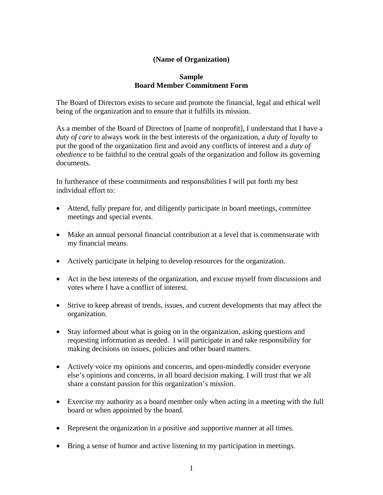## **(Name of Organization)**

## **Sample Board Member Commitment Form**

The Board of Directors exists to secure and promote the financial, legal and ethical well being of the organization and to ensure that it fulfills its mission.

As a member of the Board of Directors of [name of nonprofit], I understand that I have a *duty of care* to always work in the best interests of the organization, a *duty of loyalty* to put the good of the organization first and avoid any conflicts of interest and a *duty of obedience* to be faithful to the central goals of the organization and follow its governing documents.

In furtherance of these commitments and responsibilities I will put forth my best individual effort to:

- Attend, fully prepare for, and diligently participate in board meetings, committee meetings and special events.
- Make an annual personal financial contribution at a level that is commensurate with my financial means.
- Actively participate in helping to develop resources for the organization.
- Act in the best interests of the organization, and excuse myself from discussions and votes where I have a conflict of interest.
- Strive to keep abreast of trends, issues, and current developments that may affect the organization.
- Stay informed about what is going on in the organization, asking questions and requesting information as needed. I will participate in and take responsibility for making decisions on issues, policies and other board matters.
- Actively voice my opinions and concerns, and open-mindedly consider everyone else's opinions and concerns, in all board decision making. I will trust that we all share a constant passion for this organization's mission.
- Exercise my authority as a board member only when acting in a meeting with the full board or when appointed by the board.
- Represent the organization in a positive and supportive manner at all times.
- Bring a sense of humor and active listening to my participation in meetings.